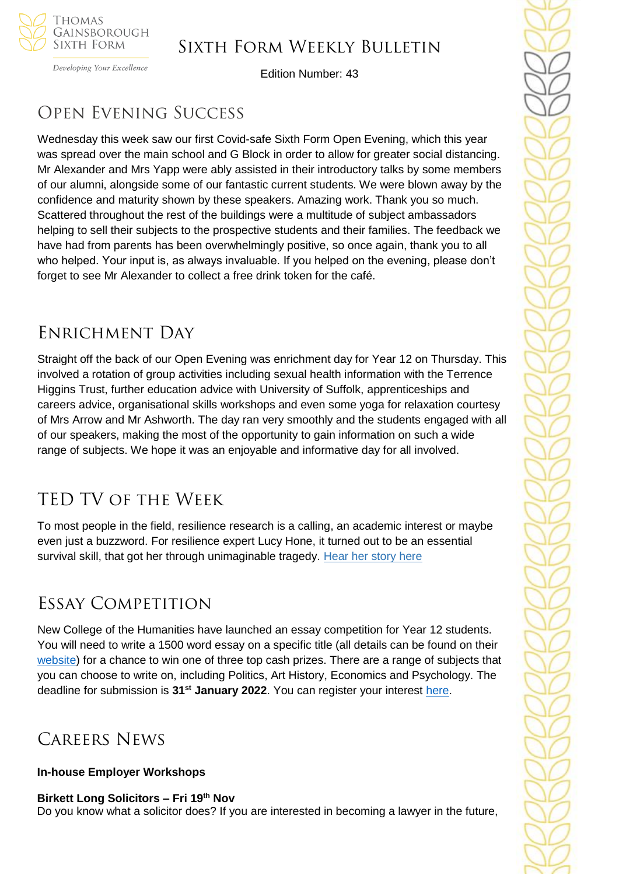

Developing Your Excellence

Edition Number: 43

# Open Evening Success

Wednesday this week saw our first Covid-safe Sixth Form Open Evening, which this year was spread over the main school and G Block in order to allow for greater social distancing. Mr Alexander and Mrs Yapp were ably assisted in their introductory talks by some members of our alumni, alongside some of our fantastic current students. We were blown away by the confidence and maturity shown by these speakers. Amazing work. Thank you so much. Scattered throughout the rest of the buildings were a multitude of subject ambassadors helping to sell their subjects to the prospective students and their families. The feedback we have had from parents has been overwhelmingly positive, so once again, thank you to all who helped. Your input is, as always invaluable. If you helped on the evening, please don't forget to see Mr Alexander to collect a free drink token for the café.

## Enrichment Day

Straight off the back of our Open Evening was enrichment day for Year 12 on Thursday. This involved a rotation of group activities including sexual health information with the Terrence Higgins Trust, further education advice with University of Suffolk, apprenticeships and careers advice, organisational skills workshops and even some yoga for relaxation courtesy of Mrs Arrow and Mr Ashworth. The day ran very smoothly and the students engaged with all of our speakers, making the most of the opportunity to gain information on such a wide range of subjects. We hope it was an enjoyable and informative day for all involved.

# TED TV of the Week

To most people in the field, resilience research is a calling, an academic interest or maybe even just a buzzword. For resilience expert Lucy Hone, it turned out to be an essential survival skill, that got her through unimaginable tragedy. Hear her story here

## Essay Competition

New College of the Humanities have launched an essay competition for Year 12 students. You will need to write a 1500 word essay on a specific title (all details can be found on their [website\)](https://www.nchlondon.ac.uk/pre-university-programmes/essay/) for a chance to win one of three top cash prizes. There are a range of subjects that you can choose to write on, including Politics, Art History, Economics and Psychology. The deadline for submission is **31st January 2022**. You can register your interest [here.](https://www.nchlondon.ac.uk/pre-university-programmes/essay/)

# Careers News

### **In-house Employer Workshops**

**Birkett Long Solicitors – Fri 19th Nov**  Do you know what a solicitor does? If you are interested in becoming a lawyer in the future,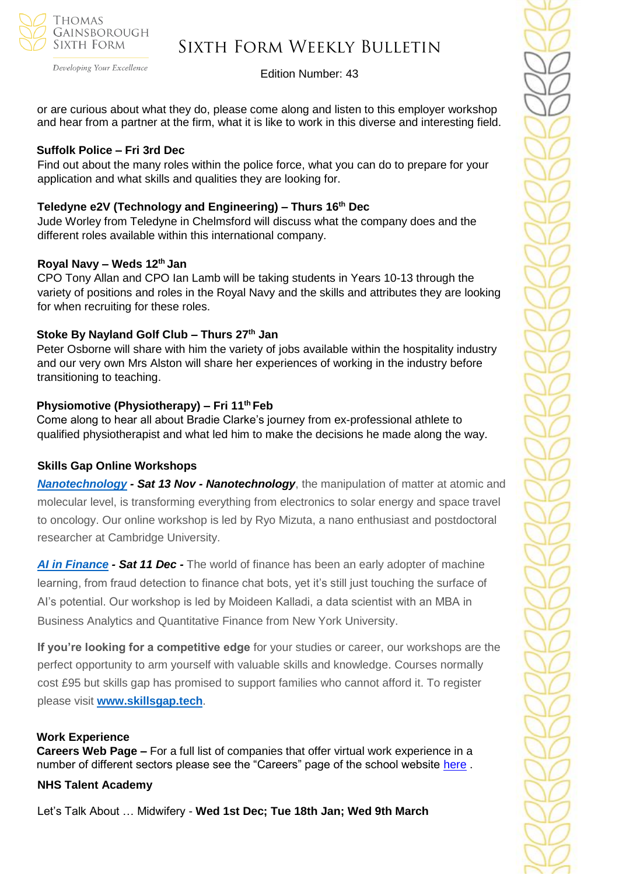

Developing Your Excellence

### Edition Number: 43

or are curious about what they do, please come along and listen to this employer workshop and hear from a partner at the firm, what it is like to work in this diverse and interesting field.

#### **Suffolk Police – Fri 3rd Dec**

Find out about the many roles within the police force, what you can do to prepare for your application and what skills and qualities they are looking for.

### **Teledyne e2V (Technology and Engineering) – Thurs 16th Dec**

Jude Worley from Teledyne in Chelmsford will discuss what the company does and the different roles available within this international company.

### **Royal Navy – Weds 12th Jan**

CPO Tony Allan and CPO Ian Lamb will be taking students in Years 10-13 through the variety of positions and roles in the Royal Navy and the skills and attributes they are looking for when recruiting for these roles.

### **Stoke By Nayland Golf Club – Thurs 27th Jan**

Peter Osborne will share with him the variety of jobs available within the hospitality industry and our very own Mrs Alston will share her experiences of working in the industry before transitioning to teaching.

### **Physiomotive (Physiotherapy) – Fri 11th Feb**

Come along to hear all about Bradie Clarke's journey from ex-professional athlete to qualified physiotherapist and what led him to make the decisions he made along the way.

### **Skills Gap Online Workshops**

*[Nanotechnology](https://sportlivedlimited.cmail19.com/t/r-l-trthxut-bzsdtjkt-r/) - Sat 13 Nov - Nanotechnology*, the manipulation of matter at atomic and molecular level, is transforming everything from electronics to solar energy and space travel to oncology. Our online workshop is led by Ryo Mizuta, a nano enthusiast and postdoctoral researcher at Cambridge University.

*[AI in Finance](https://sportlivedlimited.cmail19.com/t/r-l-trthxut-bzsdtjkt-y/) - Sat 11 Dec -* The world of finance has been an early adopter of machine learning, from fraud detection to finance chat bots, yet it's still just touching the surface of AI's potential. Our workshop is led by Moideen Kalladi, a data scientist with an MBA in Business Analytics and Quantitative Finance from New York University.

**If you're looking for a competitive edge** for your studies or career, our workshops are the perfect opportunity to arm yourself with valuable skills and knowledge. Courses normally cost £95 but skills gap has promised to support families who cannot afford it. To register please visit **[www.skillsgap.tech](http://www.skillsgap.tech/)**.

### **Work Experience**

**Careers Web Page –** For a full list of companies that offer virtual work experience in a number of different sectors please see the "Careers" page of the school website [here](https://tgschool.net/careers) .

### **NHS Talent Academy**

Let's Talk About … Midwifery - **Wed 1st Dec; Tue 18th Jan; Wed 9th March**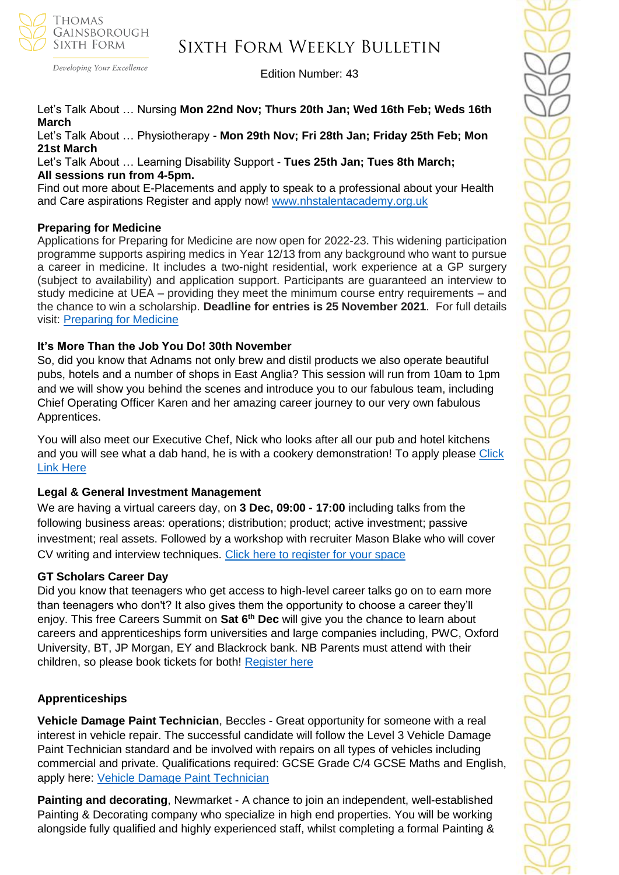

Developing Your Excellence

## Sixth Form Weekly Bulletin

Edition Number: 43

### Let's Talk About … Nursing **Mon 22nd Nov; Thurs 20th Jan; Wed 16th Feb; Weds 16th March**

Let's Talk About … Physiotherapy **- Mon 29th Nov; Fri 28th Jan; Friday 25th Feb; Mon 21st March**

Let's Talk About … Learning Disability Support - **Tues 25th Jan; Tues 8th March; All sessions run from 4-5pm.**

Find out more about E-Placements and apply to speak to a professional about your Health and Care aspirations Register and apply now!<www.nhstalentacademy.org.uk>

### **Preparing for Medicine**

Applications for Preparing for Medicine are now open for 2022-23. This widening participation programme supports aspiring medics in Year 12/13 from any background who want to pursue a career in medicine. It includes a two-night residential, work experience at a GP surgery (subject to availability) and application support. Participants are guaranteed an interview to study medicine at UEA – providing they meet the minimum course entry requirements – and the chance to win a scholarship. **Deadline for entries is 25 November 2021**. For full details visit: [Preparing](https://www.uea.ac.uk/study/information-for/teachers/services-for-schools/year-12-13/on-campus/preparing-for-medicine) for Medicine

### **It's More Than the Job You Do! 30th November**

So, did you know that Adnams not only brew and distil products we also operate beautiful pubs, hotels and a number of shops in East Anglia? This session will run from 10am to 1pm and we will show you behind the scenes and introduce you to our fabulous team, including Chief Operating Officer Karen and her amazing career journey to our very own fabulous Apprentices.

You will also meet our Executive Chef, Nick who looks after all our pub and hotel kitchens and you will see what a dab hand, he is with a cookery demonstration! To apply please Click [Link Here](https://www.s4snextgen.org/schools/opportunitiesv2/ViewOpportunity/id/2294)

### **Legal & General Investment Management**

We are having a virtual careers day, on **3 Dec, 09:00 - 17:00** including talks from the following business areas: operations; distribution; product; active investment; passive investment; real assets. Followed by a workshop with recruiter Mason Blake who will cover CV writing and interview techniques. [Click here to register for your space](mailto:SEM.Committee@lgim.com?subject=Legal%20%26%20General%20Investment%20Management%20Careers%20Event%20-%203%20December)

### **GT Scholars Career Day**

Did you know that teenagers who get access to high-level career talks go on to earn more than teenagers who don't? It also gives them the opportunity to choose a career they'll enjoy. This free Careers Summit on **Sat 6th Dec** will give you the chance to learn about careers and apprenticeships form universities and large companies including, PWC, Oxford University, BT, JP Morgan, EY and Blackrock bank. NB Parents must attend with their children, so please book tickets for both! [Register here](https://careersummit.gtscholars.org/)

### **Apprenticeships**

**Vehicle Damage Paint Technician**, Beccles - Great opportunity for someone with a real interest in vehicle repair. The successful candidate will follow the Level 3 Vehicle Damage Paint Technician standard and be involved with repairs on all types of vehicles including commercial and private. Qualifications required: GCSE Grade C/4 GCSE Maths and English, apply here: [Vehicle Damage Paint Technician](https://v2.apprenticeshipsnewanglia.co.uk/applicants/help/?ref=8a8b1a59-55ed-4e80-8ffe-a7c956859aeb)

**Painting and decorating**, Newmarket - A chance to join an independent, well-established Painting & Decorating company who specialize in high end properties. You will be working alongside fully qualified and highly experienced staff, whilst completing a formal Painting &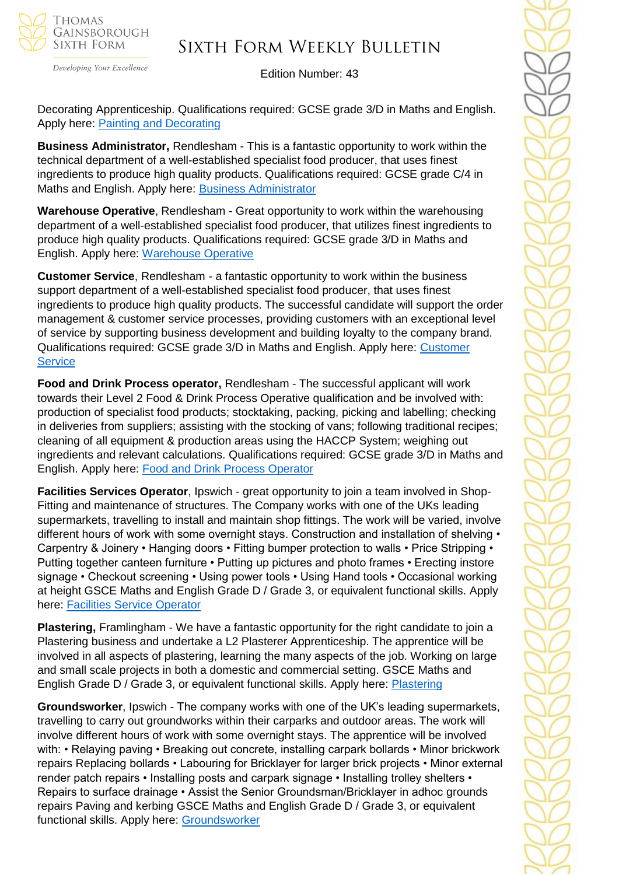

Developing Your Excellence

Edition Number: 43

Decorating Apprenticeship. Qualifications required: GCSE grade 3/D in Maths and English. Apply here: [Painting and Decorating](https://v2.apprenticeshipsnewanglia.co.uk/applicants/help/?ref=08db834f-d969-4916-b25f-6a848ba9c527)

**Business Administrator,** Rendlesham - This is a fantastic opportunity to work within the technical department of a well-established specialist food producer, that uses finest ingredients to produce high quality products. Qualifications required: GCSE grade C/4 in Maths and English. Apply here: [Business Administrator](https://v2.apprenticeshipsnewanglia.co.uk/applicants/help/?ref=9f9d3256-115d-49ac-aa1d-fa6239690a77)

**Warehouse Operative**, Rendlesham - Great opportunity to work within the warehousing department of a well-established specialist food producer, that utilizes finest ingredients to produce high quality products. Qualifications required: GCSE grade 3/D in Maths and English. Apply here: [Warehouse Operative](https://v2.apprenticeshipsnewanglia.co.uk/applicants/help/?ref=0b63e7d8-4077-4333-b89e-7d5958e3db6a)

**Customer Service**, Rendlesham - a fantastic opportunity to work within the business support department of a well-established specialist food producer, that uses finest ingredients to produce high quality products. The successful candidate will support the order management & customer service processes, providing customers with an exceptional level of service by supporting business development and building loyalty to the company brand. Qualifications required: GCSE grade 3/D in Maths and English. Apply here: [Customer](https://v2.apprenticeshipsnewanglia.co.uk/applicants/help/?ref=01deb169-d6e2-4b05-8f4c-768352e37e91)  **[Service](https://v2.apprenticeshipsnewanglia.co.uk/applicants/help/?ref=01deb169-d6e2-4b05-8f4c-768352e37e91)** 

**Food and Drink Process operator,** Rendlesham - The successful applicant will work towards their Level 2 Food & Drink Process Operative qualification and be involved with: production of specialist food products; stocktaking, packing, picking and labelling; checking in deliveries from suppliers; assisting with the stocking of vans; following traditional recipes; cleaning of all equipment & production areas using the HACCP System; weighing out ingredients and relevant calculations. Qualifications required: GCSE grade 3/D in Maths and English. Apply here: [Food and Drink Process Operator](https://v2.apprenticeshipsnewanglia.co.uk/applicants/help/?ref=82e1a29c-b2c2-42af-acbf-00789efab099)

**Facilities Services Operator**, Ipswich - great opportunity to join a team involved in Shop-Fitting and maintenance of structures. The Company works with one of the UKs leading supermarkets, travelling to install and maintain shop fittings. The work will be varied, involve different hours of work with some overnight stays. Construction and installation of shelving • Carpentry & Joinery • Hanging doors • Fitting bumper protection to walls • Price Stripping • Putting together canteen furniture • Putting up pictures and photo frames • Erecting instore signage • Checkout screening • Using power tools • Using Hand tools • Occasional working at height GSCE Maths and English Grade D / Grade 3, or equivalent functional skills. Apply here: [Facilities Service Operator](https://v2.apprenticeshipsnewanglia.co.uk/applicants/help/?ref=19032ba5-1e97-4a26-8cd7-e8104a08f9fe)

**Plastering,** Framlingham - We have a fantastic opportunity for the right candidate to join a Plastering business and undertake a L2 Plasterer Apprenticeship. The apprentice will be involved in all aspects of plastering, learning the many aspects of the job. Working on large and small scale projects in both a domestic and commercial setting. GSCE Maths and English Grade D / Grade 3, or equivalent functional skills. Apply here: [Plastering](https://v2.apprenticeshipsnewanglia.co.uk/applicants/help/?ref=64a8e14d-49c9-4da5-908c-3e419673d6e7)

**Groundsworker**, Ipswich - The company works with one of the UK's leading supermarkets, travelling to carry out groundworks within their carparks and outdoor areas. The work will involve different hours of work with some overnight stays. The apprentice will be involved with: • Relaying paving • Breaking out concrete, installing carpark bollards • Minor brickwork repairs Replacing bollards • Labouring for Bricklayer for larger brick projects • Minor external render patch repairs • Installing posts and carpark signage • Installing trolley shelters • Repairs to surface drainage • Assist the Senior Groundsman/Bricklayer in adhoc grounds repairs Paving and kerbing GSCE Maths and English Grade D / Grade 3, or equivalent functional skills. Apply here: [Groundsworker](https://v2.apprenticeshipsnewanglia.co.uk/applicants/help/?ref=0c8610cc-a44c-41c0-a040-bb803843947b)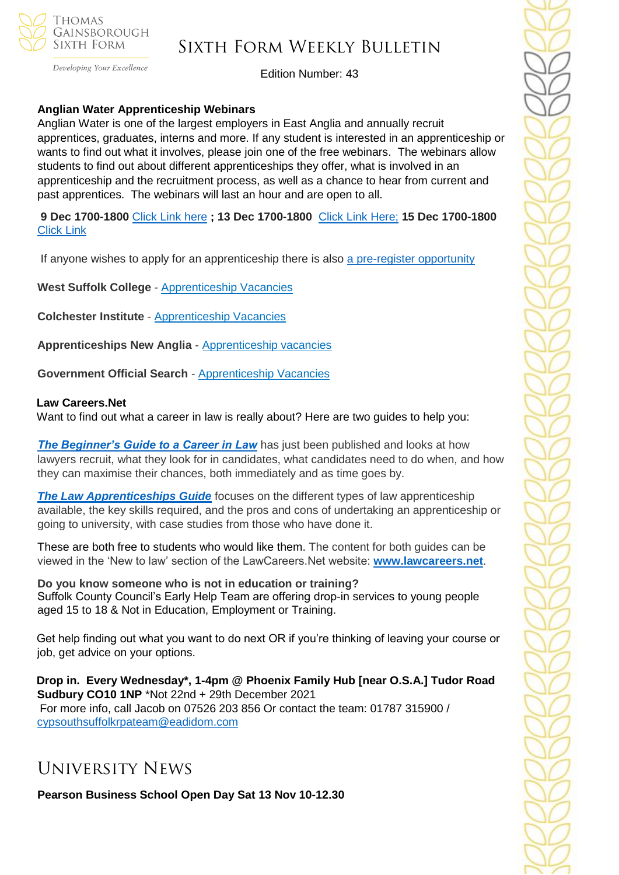

Developing Your Excellence

Edition Number: 43

### **Anglian Water Apprenticeship Webinars**

Anglian Water is one of the largest employers in East Anglia and annually recruit apprentices, graduates, interns and more. If any student is interested in an apprenticeship or wants to find out what it involves, please join one of the free webinars. The webinars allow students to find out about different apprenticeships they offer, what is involved in an apprenticeship and the recruitment process, as well as a chance to hear from current and past apprentices. The webinars will last an hour and are open to all.

**9 Dec 1700-1800** [Click Link here](https://teams.microsoft.com/registration/Ah2656Iq1UiBhePca_e4bQ,EN_2oJbTzkiu57ZBev0QSg,pkln6gQwkkGEkBH4NNht9g,gDwy0arFokqp6TYFtiS42g,NlL4PKxLck60sGqtb_uv6g,Dm2pwzAQVEWpyJALjJVH9w?mode=read&tenantId=e7ba1d02-2aa2-48d5-8185-e3dc6bf7b86d) **; 13 Dec 1700-1800** [Click Link Here;](https://teams.microsoft.com/registration/Ah2656Iq1UiBhePca_e4bQ,EN_2oJbTzkiu57ZBev0QSg,pkln6gQwkkGEkBH4NNht9g,IfENcHOFkE2Qq2oI_klpBw,D8L_HEr_nEKP6L3DL_EWPA,PQ1kY4Ul4EeGTzqJOx-XTg?mode=read&tenantId=e7ba1d02-2aa2-48d5-8185-e3dc6bf7b86d) **15 Dec 1700-1800**  [Click Link](https://teams.microsoft.com/registration/Ah2656Iq1UiBhePca_e4bQ,EN_2oJbTzkiu57ZBev0QSg,pkln6gQwkkGEkBH4NNht9g,WlNKHemzMk-Yi_9MKN3wMQ,3rF_2AOAbUWChGli1KsV0w,bWUMqXDVbkCNLw7ra-BVqw?mode=read&tenantId=e7ba1d02-2aa2-48d5-8185-e3dc6bf7b86d)

If anyone wishes to apply for an apprenticeship there is also [a pre-register opportunity](https://awg.wd3.myworkdayjobs.com/PS/job/Cambridgeshire/Register-your-interest-for-an-Apprenticeship-at-Anglian-Water_R14052)

**West Suffolk College** - [Apprenticeship Vacancies](https://apprenticeships.wsc.ac.uk/)

**Colchester Institute** - [Apprenticeship Vacancies](https://www.colchester.ac.uk/apprenticeships/vacancies/)

**Apprenticeships New Anglia** - [Apprenticeship vacancies](https://www.apprenticeshipsnewanglia.co.uk/)

**Government Official Search** - [Apprenticeship Vacancies](https://www.gov.uk/apply-apprenticeship)

#### **Law Careers.Net**

Want to find out what a career in law is really about? Here are two guides to help you:

**[The Beginner's Guide to a Career in Law](https://clicks.thecdi-news.net/email/S-11621@366686@qI9iBywBknvz_rsLlV1XjgxhYwrhI5jW6hAhXRwohak.@)** has just been published and looks at how lawyers recruit, what they look for in candidates, what candidates need to do when, and how they can maximise their chances, both immediately and as time goes by.

**[The Law Apprenticeships Guide](https://clicks.thecdi-news.net/email/S-11621@366687@qI9iBywBknvz_rsLlV1XjgxhYwrhI5jW6hAhXRwohak.@)** focuses on the different types of law apprenticeship available, the key skills required, and the pros and cons of undertaking an apprenticeship or going to university, with case studies from those who have done it.

These are both free to students who would like them. The content for both guides can be viewed in the 'New to law' section of the LawCareers.Net website: **[www.lawcareers.net](https://clicks.thecdi-news.net/email/S-11621@366689@qI9iBywBknvz_rsLlV1XjgxhYwrhI5jW6hAhXRwohak.@)**.

**Do you know someone who is not in education or training?** Suffolk County Council's Early Help Team are offering drop-in services to young people aged 15 to 18 & Not in Education, Employment or Training.

Get help finding out what you want to do next OR if you're thinking of leaving your course or job, get advice on your options.

**Drop in. Every Wednesday\*, 1-4pm @ Phoenix Family Hub [near O.S.A.] Tudor Road Sudbury CO10 1NP** \*Not 22nd + 29th December 2021 For more info, call Jacob on 07526 203 856 Or contact the team: 01787 315900 / [cypsouthsuffolkrpateam@eadidom.com](mailto:cypsouthsuffolkrpateam@eadidom.com)

## University News

**Pearson Business School Open Day Sat 13 Nov 10-12.30**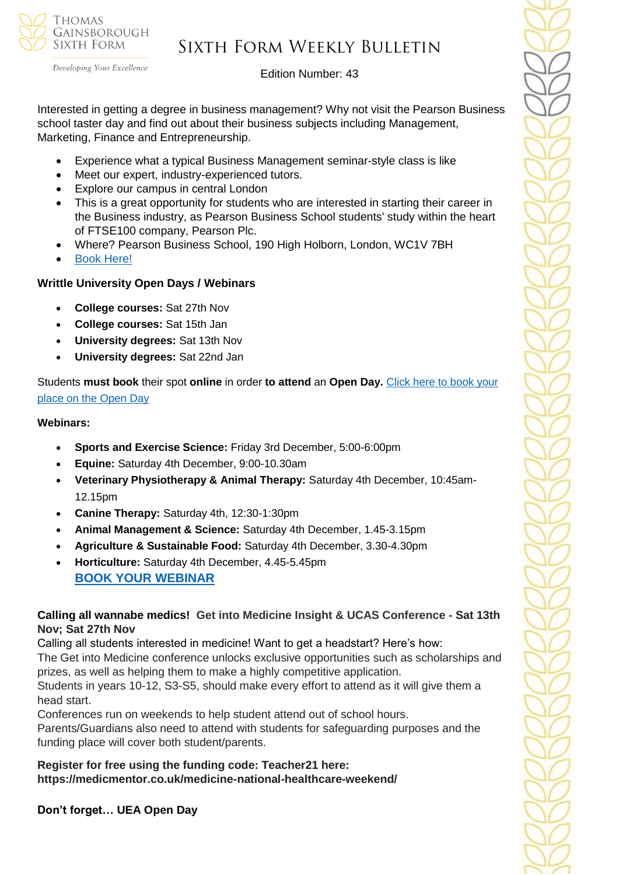

Developing Your Excellence

## Edition Number: 43

Interested in getting a degree in business management? Why not visit the Pearson Business school taster day and find out about their business subjects including Management, Marketing, Finance and Entrepreneurship.

- Experience what a typical Business Management seminar-style class is like
- Meet our expert, industry-experienced tutors.
- Explore our campus in central London
- This is a great opportunity for students who are interested in starting their career in the Business industry, as Pearson Business School students' study within the heart of FTSE100 company, Pearson Plc.
- Where? Pearson Business School, 190 High Holborn, London, WC1V 7BH
- **[Book Here!](https://www.pearsoncollegelondon.ac.uk/pearson-business-school/visit-us/events/undergraduate-taster-days.html?utm_source=unitasterdays&utm_medium=email)**

## **Writtle University Open Days / Webinars**

- **College courses:** Sat 27th Nov
- **College courses:** Sat 15th Jan
- **University degrees:** Sat 13th Nov
- **University degrees:** Sat 22nd Jan

Students **must book** their spot **online** in order **to attend** an **Open Day.** [Click here to book your](https://writtle.ac.uk/College-Course-Events)  [place on the Open Day](https://writtle.ac.uk/College-Course-Events)

### **Webinars:**

- **Sports and Exercise Science:** Friday 3rd December, 5:00-6:00pm
- **Equine:** Saturday 4th December, 9:00-10.30am
- **Veterinary Physiotherapy & Animal Therapy:** Saturday 4th December, 10:45am-12.15pm
- **Canine Therapy:** Saturday 4th, 12:30-1:30pm
- **Animal Management & Science:** Saturday 4th December, 1.45-3.15pm
- **Agriculture & Sustainable Food:** Saturday 4th December, 3.30-4.30pm
- **Horticulture:** Saturday 4th December, 4.45-5.45pm **[BOOK YOUR WEBINAR](https://writtle.us20.list-manage.com/track/click?u=7194fb1b34cb542ace9a663e3&id=70508011ec&e=645d34285f)**

### **Calling all wannabe medics! Get into Medicine Insight & UCAS Conference - Sat 13th Nov; Sat 27th Nov**

Calling all students interested in medicine! Want to get a headstart? Here's how: The Get into Medicine conference unlocks exclusive opportunities such as scholarships and prizes, as well as helping them to make a highly competitive application. Students in years 10-12, S3-S5, should make every effort to attend as it will give them a head start.

Conferences run on weekends to help student attend out of school hours.

Parents/Guardians also need to attend with students for safeguarding purposes and the funding place will cover both student/parents.

**Register for free using the funding code: Teacher21 here: https://medicmentor.co.uk/medicine-national-healthcare-weekend/**

**Don't forget… UEA Open Day**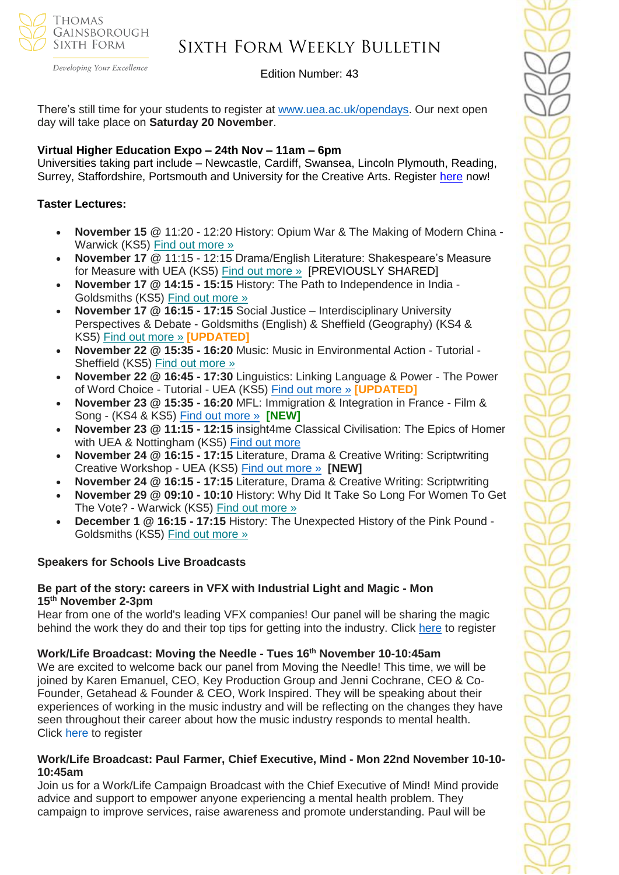

#### Developing Your Excellence

## Sixth Form Weekly Bulletin

Edition Number: 43

There's still time for your students to register at [www.uea.ac.uk/opendays.](http://www.uea.ac.uk/opendays) Our next open day will take place on **Saturday 20 November**.

### **Virtual Higher Education Expo – 24th Nov – 11am – 6pm**

Universities taking part include – Newcastle, Cardiff, Swansea, Lincoln Plymouth, Reading, Surrey, Staffordshire, Portsmouth and University for the Creative Arts. Register [here](https://schools.tecl.co.uk/educationcompany5lz/lz.aspx?p1=M8IDU2MTI3MDk0UzQ2NjE6RDIxQTA4NTgzOUYwRDVFMjM2MzFDQjQyNjdBMTVBREQ%3d-&CC=&w=7191) now!

### **Taster Lectures:**

- **November 15** @ 11:20 12:20 History: Opium War & The Making of Modern China Warwick (KS5) Find out [more](https://channeltalent.us10.list-manage.com/track/click?u=145837fa6843e0c349598322a&id=b10c8a712c&e=155232616c) »
- **November 17** @ 11:15 12:15 Drama/English Literature: Shakespeare's Measure for Measure with UEA (KS5) Find out [more](https://channeltalent.us10.list-manage.com/track/click?u=145837fa6843e0c349598322a&id=1c3e4286c5&e=ba0e9a2959) » [PREVIOUSLY SHARED]
- **November 17 @ 14:15 - 15:15** History: The Path to Independence in India Goldsmiths (KS5) Find out [more](https://channeltalent.us10.list-manage.com/track/click?u=145837fa6843e0c349598322a&id=21380843d7&e=155232616c) »
- **November 17 @ 16:15 - 17:15** Social Justice Interdisciplinary University Perspectives & Debate - Goldsmiths (English) & Sheffield (Geography) (KS4 & KS5) Find out [more](https://channeltalent.us10.list-manage.com/track/click?u=145837fa6843e0c349598322a&id=38309d413c&e=ba0e9a2959) » **[UPDATED]**
- **November 22 @ 15:35 - 16:20** Music: Music in Environmental Action Tutorial Sheffield (KS5) Find out [more](https://channeltalent.us10.list-manage.com/track/click?u=145837fa6843e0c349598322a&id=b21e46f2ac&e=ba0e9a2959) »
- **November 22 @ 16:45 - 17:30** Linguistics: Linking Language & Power The Power of Word Choice - Tutorial - UEA (KS5) [Find out more »](https://channeltalent.us10.list-manage.com/track/click?u=145837fa6843e0c349598322a&id=f72bf88529&e=ba0e9a2959) **[UPDATED]**
- **November 23 @ 15:35 - 16:20** MFL: Immigration & Integration in France Film & Song - (KS4 & KS5) [Find out more »](https://channeltalent.us10.list-manage.com/track/click?u=145837fa6843e0c349598322a&id=13cb7ad53c&e=ba0e9a2959) **[NEW]**
- **November 23 @ 11:15 - 12:15** insight4me Classical Civilisation: The Epics of Homer with UEA & Nottingham (KS5) [Find out more](https://channeltalent.us10.list-manage.com/track/click?u=145837fa6843e0c349598322a&id=a2b8f4f7eb&e=ba0e9a2959)
- **November 24 @ 16:15 - 17:15** Literature, Drama & Creative Writing: Scriptwriting Creative Workshop - UEA (KS5) Find out [more](https://channeltalent.us10.list-manage.com/track/click?u=145837fa6843e0c349598322a&id=0f9483af5f&e=ba0e9a2959) » **[NEW]**
- **November 24 @ 16:15 - 17:15** Literature, Drama & Creative Writing: Scriptwriting
- **November 29 @ 09:10 - 10:10** History: Why Did It Take So Long For Women To Get The Vote? - Warwick (KS5) Find out [more](https://channeltalent.us10.list-manage.com/track/click?u=145837fa6843e0c349598322a&id=eb231b9089&e=155232616c) »
- **December 1 @ 16:15 - 17:15** History: The Unexpected History of the Pink Pound Goldsmiths (KS5) Find out [more](https://channeltalent.us10.list-manage.com/track/click?u=145837fa6843e0c349598322a&id=0289b66ae9&e=155232616c) »

### **Speakers for Schools Live Broadcasts**

### **Be part of the story: careers in VFX with Industrial Light and Magic - Mon 15th November 2-3pm**

Hear from one of the world's leading VFX companies! Our panel will be sharing the magic behind the work they do and their top tips for getting into the industry. Click [here](https://forms.office.com/r/CAHBkTnbXK) to register

### **Work/Life Broadcast: Moving the Needle - Tues 16th November 10-10:45am**

We are excited to welcome back our panel from Moving the Needle! This time, we will be joined by Karen Emanuel, CEO, Key Production Group and Jenni Cochrane, CEO & Co-Founder, Getahead & Founder & CEO, Work Inspired. They will be speaking about their experiences of working in the music industry and will be reflecting on the changes they have seen throughout their career about how the music industry responds to mental health. Click [here](https://forms.office.com/r/nudiu03txp) to register

### **Work/Life Broadcast: Paul Farmer, Chief Executive, Mind - Mon 22nd November 10-10- 10:45am**

Join us for a Work/Life Campaign Broadcast with the Chief Executive of Mind! Mind provide advice and support to empower anyone experiencing a mental health problem. They campaign to improve services, raise awareness and promote understanding. Paul will be